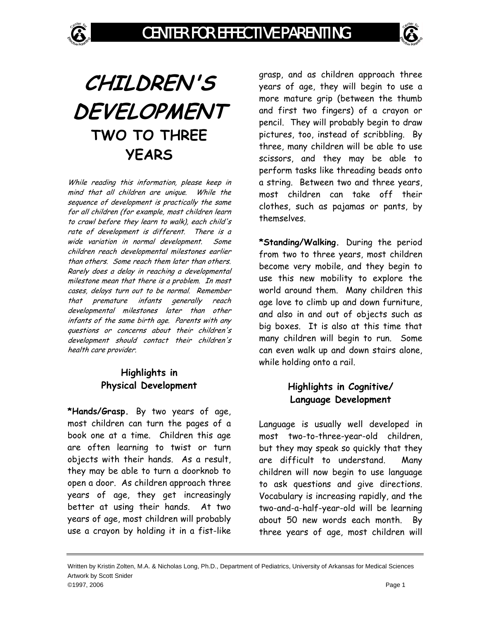

# **CHILDREN'S DEVELOPMENT TWO TO THREE YEARS**

While reading this information, please keep in mind that all children are unique. While the sequence of development is practically the same for all children (for example, most children learn to crawl before they learn to walk), each child's rate of development is different. There is a wide variation in normal development. Some children reach developmental milestones earlier than others. Some reach them later than others. Rarely does a delay in reaching a developmental milestone mean that there is a problem. In most cases, delays turn out to be normal. Remember that premature infants generally reach developmental milestones later than other infants of the same birth age. Parents with any questions or concerns about their children's development should contact their children's health care provider.

# **Highlights in Physical Development**

**\*Hands/Grasp.** By two years of age, most children can turn the pages of a book one at a time. Children this age are often learning to twist or turn objects with their hands. As a result, they may be able to turn a doorknob to open a door. As children approach three years of age, they get increasingly better at using their hands. At two years of age, most children will probably use a crayon by holding it in a fist-like

grasp, and as children approach three years of age, they will begin to use a more mature grip (between the thumb and first two fingers) of a crayon or pencil. They will probably begin to draw pictures, too, instead of scribbling. By three, many children will be able to use scissors, and they may be able to perform tasks like threading beads onto a string. Between two and three years, most children can take off their clothes, such as pajamas or pants, by themselves.

**\*Standing/Walking.** During the period from two to three years, most children become very mobile, and they begin to use this new mobility to explore the world around them. Many children this age love to climb up and down furniture, and also in and out of objects such as big boxes. It is also at this time that many children will begin to run. Some can even walk up and down stairs alone, while holding onto a rail.

# **Highlights in Cognitive/ Language Development**

Language is usually well developed in most two-to-three-year-old children, but they may speak so quickly that they are difficult to understand. Many children will now begin to use language to ask questions and give directions. Vocabulary is increasing rapidly, and the two-and-a-half-year-old will be learning about 50 new words each month. By three years of age, most children will